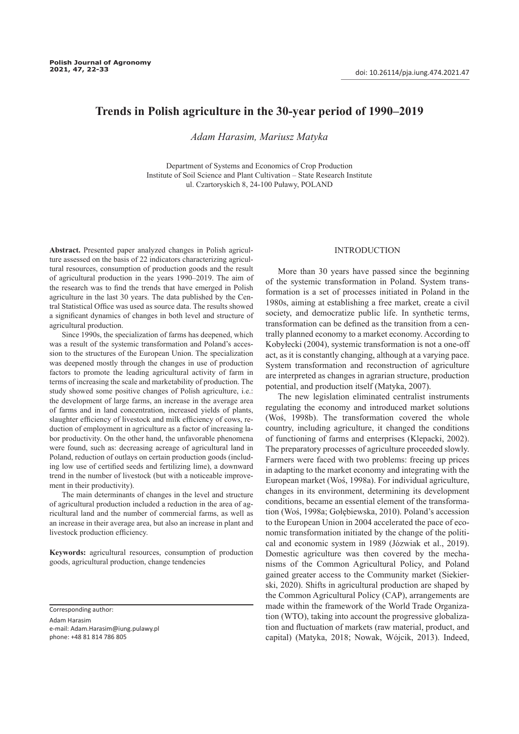# **Trends in Polish agriculture in the 30-year period of 1990–2019**

*Adam Harasim, Mariusz Matyka*

Department of Systems and Economics of Crop Production Institute of Soil Science and Plant Cultivation – State Research Institute ul. Czartoryskich 8, 24-100 Puławy, POLAND

**Abstract.** Presented paper analyzed changes in Polish agriculture assessed on the basis of 22 indicators characterizing agricultural resources, consumption of production goods and the result of agricultural production in the years 1990–2019. The aim of the research was to find the trends that have emerged in Polish agriculture in the last 30 years. The data published by the Central Statistical Office was used as source data. The results showed a significant dynamics of changes in both level and structure of agricultural production.

Since 1990s, the specialization of farms has deepened, which was a result of the systemic transformation and Poland's accession to the structures of the European Union. The specialization was deepened mostly through the changes in use of production factors to promote the leading agricultural activity of farm in terms of increasing the scale and marketability of production. The study showed some positive changes of Polish agriculture, i.e.: the development of large farms, an increase in the average area of farms and in land concentration, increased yields of plants, slaughter efficiency of livestock and milk efficiency of cows, reduction of employment in agriculture as a factor of increasing labor productivity. On the other hand, the unfavorable phenomena were found, such as: decreasing acreage of agricultural land in Poland, reduction of outlays on certain production goods (including low use of certified seeds and fertilizing lime), a downward trend in the number of livestock (but with a noticeable improvement in their productivity).

The main determinants of changes in the level and structure of agricultural production included a reduction in the area of agricultural land and the number of commercial farms, as well as an increase in their average area, but also an increase in plant and livestock production efficiency.

**Keywords:** agricultural resources, consumption of production goods, agricultural production, change tendencies

Corresponding author:

Adam Harasim e-mail: Adam.Harasim@iung.pulawy.pl phone: +48 81 814 786 805

# **INTRODUCTION**

More than 30 years have passed since the beginning of the systemic transformation in Poland. System transformation is a set of processes initiated in Poland in the 1980s, aiming at establishing a free market, create a civil society, and democratize public life. In synthetic terms, transformation can be defined as the transition from a centrally planned economy to a market economy. According to Kobyłecki (2004), systemic transformation is not a one-off act, as it is constantly changing, although at a varying pace. System transformation and reconstruction of agriculture are interpreted as changes in agrarian structure, production potential, and production itself (Matyka, 2007).

The new legislation eliminated centralist instruments regulating the economy and introduced market solutions (Woś, 1998b). The transformation covered the whole country, including agriculture, it changed the conditions of functioning of farms and enterprises (Klepacki, 2002). The preparatory processes of agriculture proceeded slowly. Farmers were faced with two problems: freeing up prices in adapting to the market economy and integrating with the European market (Woś, 1998a). For individual agriculture, changes in its environment, determining its development conditions, became an essential element of the transformation (Woś, 1998a; Gołębiewska, 2010). Poland's accession to the European Union in 2004 accelerated the pace of economic transformation initiated by the change of the political and economic system in 1989 (Józwiak et al., 2019). Domestic agriculture was then covered by the mechanisms of the Common Agricultural Policy, and Poland gained greater access to the Community market (Siekierski, 2020). Shifts in agricultural production are shaped by the Common Agricultural Policy (CAP), arrangements are made within the framework of the World Trade Organization (WTO), taking into account the progressive globalization and fluctuation of markets (raw material, product, and capital) (Matyka, 2018; Nowak, Wójcik, 2013). Indeed,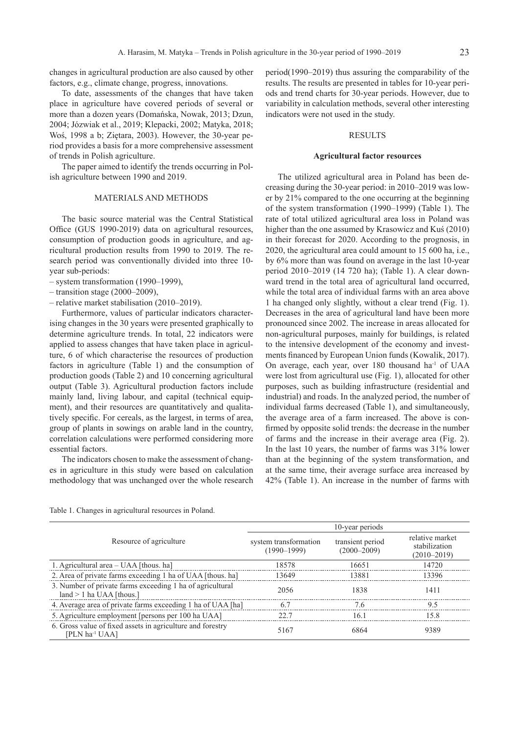changes in agricultural production are also caused by other factors, e.g., climate change, progress, innovations.

To date, assessments of the changes that have taken place in agriculture have covered periods of several or more than a dozen years (Domańska, Nowak, 2013; Dzun, 2004; Józwiak et al., 2019; Klepacki, 2002; Matyka, 2018; Woś, 1998 a b; Ziętara, 2003). However, the 30-year period provides a basis for a more comprehensive assessment of trends in Polish agriculture.

The paper aimed to identify the trends occurring in Polish agriculture between 1990 and 2019.

## MATERIALS AND METHODS

The basic source material was the Central Statistical Office (GUS 1990-2019) data on agricultural resources, consumption of production goods in agriculture, and agricultural production results from 1990 to 2019. The research period was conventionally divided into three 10 year sub-periods:

- system transformation (1990–1999),
- $-$  transition stage (2000–2009),
- relative market stabilisation (2010–2019).

Furthermore, values of particular indicators characterising changes in the 30 years were presented graphically to determine agriculture trends. In total, 22 indicators were applied to assess changes that have taken place in agriculture, 6 of which characterise the resources of production factors in agriculture (Table 1) and the consumption of production goods (Table 2) and 10 concerning agricultural output (Table 3). Agricultural production factors include mainly land, living labour, and capital (technical equipment), and their resources are quantitatively and qualitatively specific. For cereals, as the largest, in terms of area, group of plants in sowings on arable land in the country, correlation calculations were performed considering more essential factors.

The indicators chosen to make the assessment of changes in agriculture in this study were based on calculation methodology that was unchanged over the whole research

period(1990–2019) thus assuring the comparability of the results. The results are presented in tables for 10-year periods and trend charts for 30-year periods. However, due to variability in calculation methods, several other interesting indicators were not used in the study.

#### RESULTS

#### **Agricultural factor resources**

The utilized agricultural area in Poland has been decreasing during the 30-year period: in 2010–2019 was lower by 21% compared to the one occurring at the beginning of the system transformation (1990–1999) (Table 1). The rate of total utilized agricultural area loss in Poland was higher than the one assumed by Krasowicz and Kuś (2010) in their forecast for 2020. According to the prognosis, in 2020, the agricultural area could amount to 15 600 ha, i.e., by 6% more than was found on average in the last 10-year period 2010–2019 (14 720 ha); (Table 1). A clear downward trend in the total area of agricultural land occurred, while the total area of individual farms with an area above 1 ha changed only slightly, without a clear trend (Fig. 1). Decreases in the area of agricultural land have been more pronounced since 2002. The increase in areas allocated for non-agricultural purposes, mainly for buildings, is related to the intensive development of the economy and investments financed by European Union funds (Kowalik, 2017). On average, each year, over 180 thousand ha<sup>-1</sup> of UAA were lost from agricultural use (Fig. 1), allocated for other purposes, such as building infrastructure (residential and industrial) and roads. In the analyzed period, the number of individual farms decreased (Table 1), and simultaneously, the average area of a farm increased. The above is confirmed by opposite solid trends: the decrease in the number of farms and the increase in their average area (Fig. 2). In the last 10 years, the number of farms was 31% lower than at the beginning of the system transformation, and at the same time, their average surface area increased by 42% (Table 1). An increase in the number of farms with

Table 1. Changes in agricultural resources in Poland.

|                                                                                          | 10-year periods                          |                                     |                                                     |  |
|------------------------------------------------------------------------------------------|------------------------------------------|-------------------------------------|-----------------------------------------------------|--|
| Resource of agriculture                                                                  | system transformation<br>$(1990 - 1999)$ | transient period<br>$(2000 - 2009)$ | relative market<br>stabilization<br>$(2010 - 2019)$ |  |
| 1. Agricultural area – UAA [thous. ha]                                                   | 18578                                    | 16651                               | 14720                                               |  |
| 2. Area of private farms exceeding 1 ha of UAA [thous. ha]                               | 13649                                    | 13881                               | 13396                                               |  |
| 3. Number of private farms exceeding 1 ha of agricultural<br>$land > 1$ ha UAA [thous.]  | 2056                                     | 1838                                | 1411                                                |  |
| 4. Average area of private farms exceeding 1 ha of UAA [ha]                              | 67                                       | 76                                  | 95                                                  |  |
| 5. Agriculture employment [persons per 100 ha UAA]                                       | 22.7                                     | 16 1                                | 15.8                                                |  |
| 6. Gross value of fixed assets in agriculture and forestry<br>[PLN ha <sup>-1</sup> UAA] | 5167                                     | 6864                                | 9389                                                |  |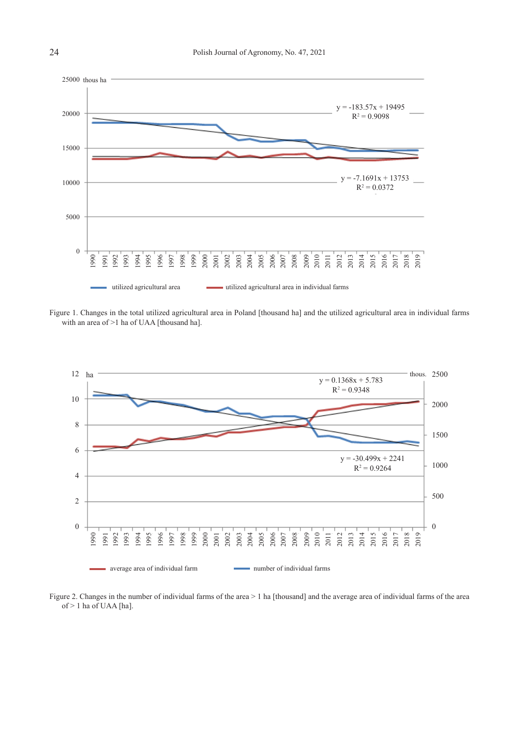

Figure 1. Changes in the total utilized agricultural area in Poland [thousand ha] and the utilized agricultural area in individual farms with an area of >1 ha of UAA [thousand ha].



Figure 2. Changes in the number of individual farms of the area > 1 ha [thousand] and the average area of individual farms of the area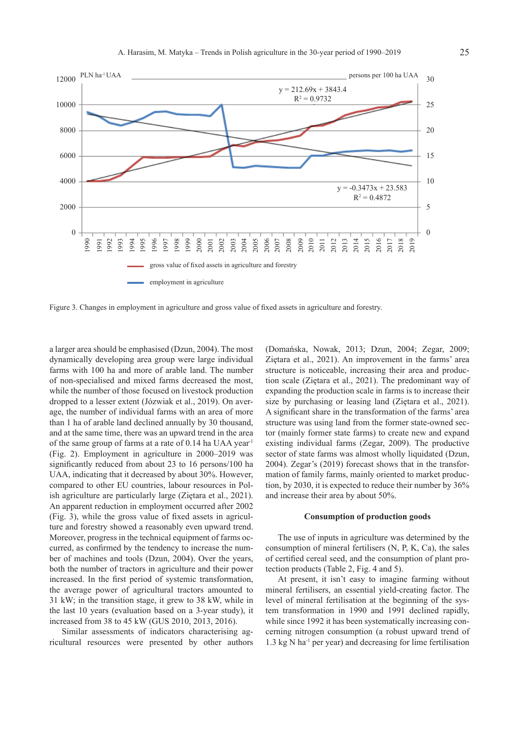

a larger area should be emphasised (Dzun, 2004). The most dynamically developing area group were large individual farms with 100 ha and more of arable land. The number of non-specialised and mixed farms decreased the most, while the number of those focused on livestock production dropped to a lesser extent (Józwiak et al., 2019). On average, the number of individual farms with an area of more than 1 ha of arable land declined annually by 30 thousand, and at the same time, there was an upward trend in the area of the same group of farms at a rate of 0.14 ha UAA year-1 (Fig. 2). Employment in agriculture in 2000–2019 was significantly reduced from about 23 to 16 persons/100 ha UAA, indicating that it decreased by about 30%. However, compared to other EU countries, labour resources in Polish agriculture are particularly large (Ziętara et al., 2021). An apparent reduction in employment occurred after 2002 (Fig. 3), while the gross value of fixed assets in agriculture and forestry showed a reasonably even upward trend. Moreover, progress in the technical equipment of farms occurred, as confirmed by the tendency to increase the number of machines and tools (Dzun, 2004). Over the years, both the number of tractors in agriculture and their power increased. In the first period of systemic transformation, the average power of agricultural tractors amounted to 31 kW; in the transition stage, it grew to 38 kW, while in the last 10 years (evaluation based on a 3-year study), it increased from 38 to 45 kW (GUS 2010, 2013, 2016).

Similar assessments of indicators characterising agricultural resources were presented by other authors (Domańska, Nowak, 2013; Dzun, 2004; Zegar, 2009; Ziętara et al., 2021). An improvement in the farms' area structure is noticeable, increasing their area and production scale (Ziętara et al., 2021). The predominant way of expanding the production scale in farms is to increase their size by purchasing or leasing land (Ziętara et al., 2021). A significant share in the transformation of the farms' area structure was using land from the former state-owned sector (mainly former state farms) to create new and expand existing individual farms (Zegar, 2009). The productive sector of state farms was almost wholly liquidated (Dzun, 2004). Zegar's (2019) forecast shows that in the transformation of family farms, mainly oriented to market production, by 2030, it is expected to reduce their number by 36% and increase their area by about 50%.

#### **Consumption of production goods**

The use of inputs in agriculture was determined by the consumption of mineral fertilisers (N, P, K, Ca), the sales of certified cereal seed, and the consumption of plant protection products (Table 2, Fig. 4 and 5).

At present, it isn't easy to imagine farming without mineral fertilisers, an essential yield-creating factor. The level of mineral fertilisation at the beginning of the system transformation in 1990 and 1991 declined rapidly, while since 1992 it has been systematically increasing concerning nitrogen consumption (a robust upward trend of  $1.3 \text{ kg N}$  ha<sup>-1</sup> per year) and decreasing for lime fertilisation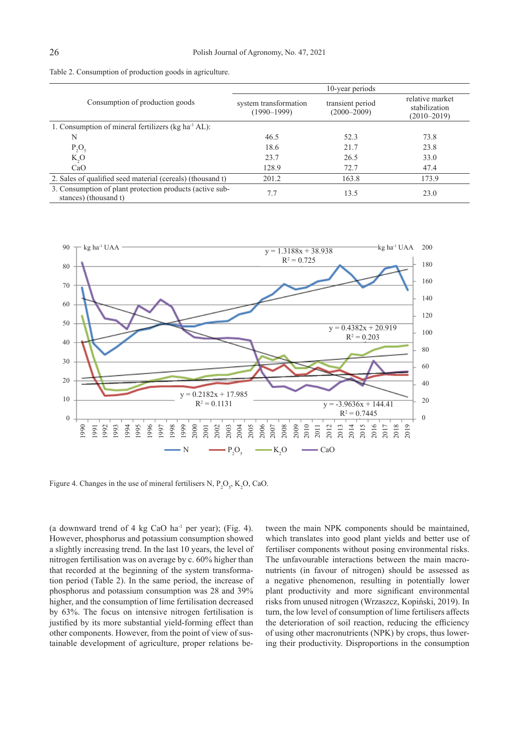|                                                                                   | 10-year periods                          |                                     |                                                     |  |
|-----------------------------------------------------------------------------------|------------------------------------------|-------------------------------------|-----------------------------------------------------|--|
| Consumption of production goods                                                   | system transformation<br>$(1990 - 1999)$ | transient period<br>$(2000 - 2009)$ | relative market<br>stabilization<br>$(2010 - 2019)$ |  |
| 1. Consumption of mineral fertilizers (kg ha <sup>-1</sup> AL):                   |                                          |                                     |                                                     |  |
| N                                                                                 | 46.5                                     | 52.3                                | 73.8                                                |  |
| $P_2O_5$                                                                          | 18.6                                     | 21.7                                | 23.8                                                |  |
| K, O                                                                              | 23.7                                     | 26.5                                | 33.0                                                |  |
| CaO                                                                               | 128.9                                    | 72.7                                | 47.4                                                |  |
| 2. Sales of qualified seed material (cereals) (thousand t)                        | 201.2                                    | 163.8                               | 173.9                                               |  |
| 3. Consumption of plant protection products (active sub-<br>stances) (thousand t) | 7.7                                      | 13.5                                | 23.0                                                |  |



Figure 4. Changes in the use of mineral fertilisers N,  $P_2O_5$ , K<sub>2</sub>O, CaO.

(a downward trend of 4 kg CaO ha<sup>-1</sup> per year); (Fig. 4). However, phosphorus and potassium consumption showed a slightly increasing trend. In the last 10 years, the level of nitrogen fertilisation was on average by c. 60% higher than that recorded at the beginning of the system transformation period (Table 2). In the same period, the increase of phosphorus and potassium consumption was 28 and 39% higher, and the consumption of lime fertilisation decreased by 63%. The focus on intensive nitrogen fertilisation is justified by its more substantial yield-forming effect than other components. However, from the point of view of sustainable development of agriculture, proper relations between the main NPK components should be maintained, which translates into good plant yields and better use of fertiliser components without posing environmental risks. The unfavourable interactions between the main macronutrients (in favour of nitrogen) should be assessed as a negative phenomenon, resulting in potentially lower plant productivity and more significant environmental risks from unused nitrogen (Wrzaszcz, Kopiński, 2019). In turn, the low level of consumption of lime fertilisers affects the deterioration of soil reaction, reducing the efficiency of using other macronutrients (NPK) by crops, thus lowering their productivity. Disproportions in the consumption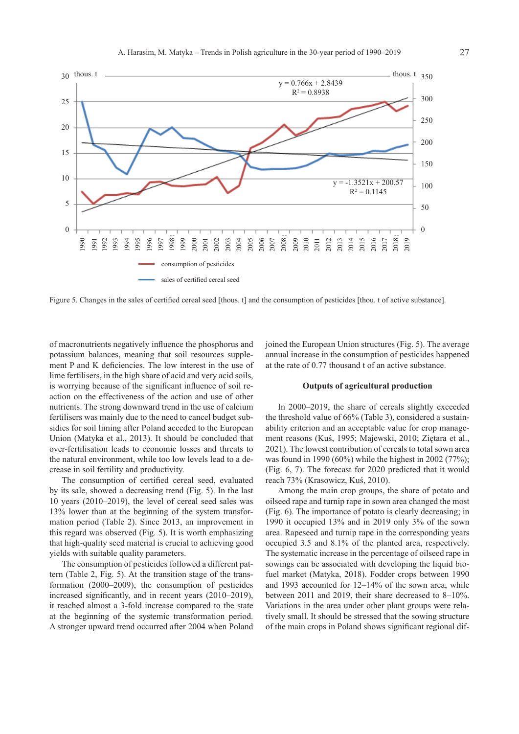

of macronutrients negatively influence the phosphorus and potassium balances, meaning that soil resources supplement P and K deficiencies. The low interest in the use of lime fertilisers, in the high share of acid and very acid soils, is worrying because of the significant influence of soil reaction on the effectiveness of the action and use of other nutrients. The strong downward trend in the use of calcium fertilisers was mainly due to the need to cancel budget subsidies for soil liming after Poland acceded to the European Union (Matyka et al., 2013). It should be concluded that over-fertilisation leads to economic losses and threats to the natural environment, while too low levels lead to a decrease in soil fertility and productivity.

The consumption of certified cereal seed, evaluated by its sale, showed a decreasing trend (Fig. 5). In the last 10 years (2010–2019), the level of cereal seed sales was 13% lower than at the beginning of the system transformation period (Table 2). Since 2013, an improvement in this regard was observed (Fig. 5). It is worth emphasizing that high-quality seed material is crucial to achieving good yields with suitable quality parameters.

The consumption of pesticides followed a different pattern (Table 2, Fig. 5). At the transition stage of the transformation (2000–2009), the consumption of pesticides increased significantly, and in recent years (2010–2019), it reached almost a 3-fold increase compared to the state at the beginning of the systemic transformation period. A stronger upward trend occurred after 2004 when Poland joined the European Union structures (Fig. 5). The average annual increase in the consumption of pesticides happened at the rate of 0.77 thousand t of an active substance.

# **Outputs of agricultural production**

In 2000–2019, the share of cereals slightly exceeded the threshold value of 66% (Table 3), considered a sustainability criterion and an acceptable value for crop management reasons (Kuś, 1995; Majewski, 2010; Ziętara et al., 2021). The lowest contribution of cereals to total sown area was found in 1990 (60%) while the highest in 2002 (77%); (Fig. 6, 7). The forecast for 2020 predicted that it would reach 73% (Krasowicz, Kuś, 2010).

Among the main crop groups, the share of potato and oilseed rape and turnip rape in sown area changed the most (Fig. 6). The importance of potato is clearly decreasing; in 1990 it occupied 13% and in 2019 only 3% of the sown area. Rapeseed and turnip rape in the corresponding years occupied 3.5 and 8.1% of the planted area, respectively. The systematic increase in the percentage of oilseed rape in sowings can be associated with developing the liquid biofuel market (Matyka, 2018). Fodder crops between 1990 and 1993 accounted for 12–14% of the sown area, while between 2011 and 2019, their share decreased to 8–10%. Variations in the area under other plant groups were relatively small. It should be stressed that the sowing structure of the main crops in Poland shows significant regional dif-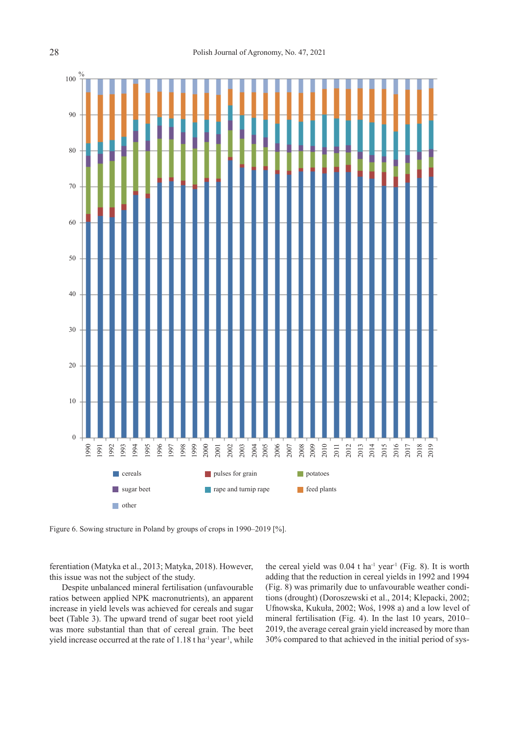

Figure 6. Sowing structure in Poland by groups of crops in 1990–2019 [%].

ferentiation (Matyka et al., 2013; Matyka, 2018). However, this issue was not the subject of the study.

Despite unbalanced mineral fertilisation (unfavourable ratios between applied NPK macronutrients), an apparent increase in yield levels was achieved for cereals and sugar beet (Table 3). The upward trend of sugar beet root yield was more substantial than that of cereal grain. The beet yield increase occurred at the rate of 1.18 t ha<sup>-1</sup> year<sup>-1</sup>, while the cereal yield was  $0.04$  t ha<sup>-1</sup> year<sup>-1</sup> (Fig. 8). It is worth adding that the reduction in cereal yields in 1992 and 1994 (Fig. 8) was primarily due to unfavourable weather conditions (drought) (Doroszewski et al., 2014; Klepacki, 2002; Ufnowska, Kukuła, 2002; Woś, 1998 a) and a low level of mineral fertilisation (Fig. 4). In the last 10 years, 2010– 2019, the average cereal grain yield increased by more than 30% compared to that achieved in the initial period of sys-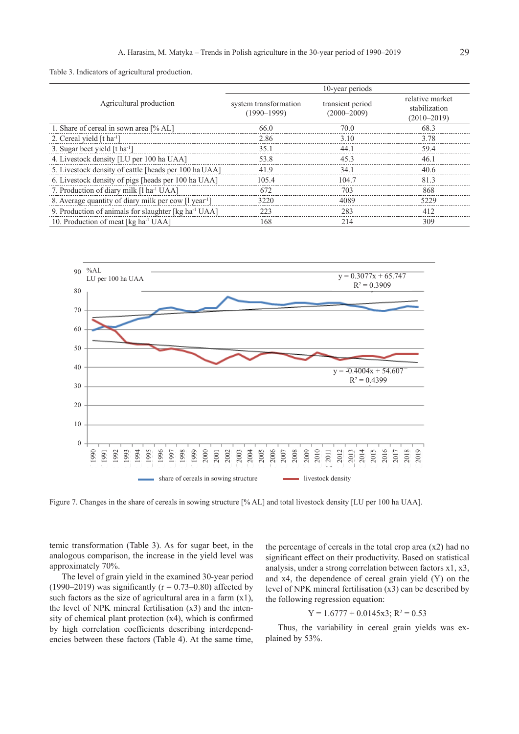Table 3. Indicators of agricultural production.

|                                                                  | 10-year periods                          |                                     |                                                     |  |
|------------------------------------------------------------------|------------------------------------------|-------------------------------------|-----------------------------------------------------|--|
| Agricultural production                                          | system transformation<br>$(1990 - 1999)$ | transient period<br>$(2000 - 2009)$ | relative market<br>stabilization<br>$(2010 - 2019)$ |  |
| 1. Share of cereal in sown area [% AL]                           | 66.0                                     | 70.0                                | 68.3                                                |  |
| 2. Cereal yield $[t1]$                                           | 2.86                                     | 3.10                                | 3.78                                                |  |
| 3. Sugar beet yield [t ha <sup>-1</sup> ]                        | 35.1                                     | 44.1                                | 59.4                                                |  |
| 4. Livestock density [LU per 100 ha UAA]                         | 53.8                                     | 45.3                                | 46.1                                                |  |
| 5. Livestock density of cattle [heads per 100 ha UAA]            | 41.9                                     | 34.1                                | 40.6                                                |  |
| 6. Livestock density of pigs [heads per 100 ha UAA]              | 105.4                                    | 104.7                               | 81.3                                                |  |
| 7. Production of diary milk [1 ha <sup>-1</sup> UAA]             | 672                                      | 703                                 | 868                                                 |  |
| 8. Average quantity of diary milk per cow [1 year <sup>1</sup> ] | 3220                                     | 4089                                | 5229                                                |  |
| 9. Production of animals for slaughter [kg ha <sup>-1</sup> UAA] | 223                                      | 283                                 | 412                                                 |  |
| 10. Production of meat [kg ha <sup>-1</sup> UAA]                 | 168                                      | 214                                 | 309                                                 |  |



temic transformation (Table 3). As for sugar beet, in the analogous comparison, the increase in the yield level was approximately 70%.

The level of grain yield in the examined 30-year period (1990–2019) was significantly ( $r = 0.73$ –0.80) affected by such factors as the size of agricultural area in a farm  $(x1)$ , the level of NPK mineral fertilisation (x3) and the intensity of chemical plant protection (x4), which is confirmed by high correlation coefficients describing interdependencies between these factors (Table 4). At the same time,

the percentage of cereals in the total crop area  $(x2)$  had no significant effect on their productivity. Based on statistical analysis, under a strong correlation between factors x1, x3, and x4, the dependence of cereal grain yield (Y) on the level of NPK mineral fertilisation (x3) can be described by the following regression equation:

$$
Y = 1.6777 + 0.0145x3; R^2 = 0.53
$$

Thus, the variability in cereal grain yields was explained by 53%.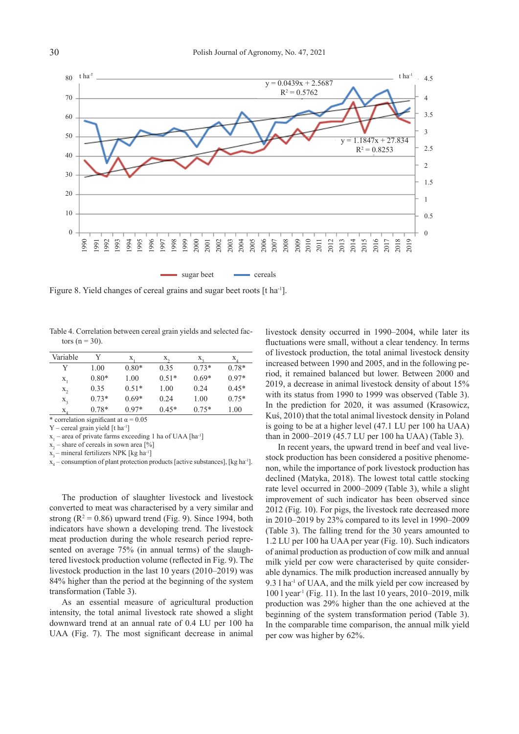sugar beet cereals 1990 1991 1992 1993 1994 1995 1996 1997 1998 1999 2000 2001 2002 2003 2004 2005 2006 2007 2008 2009 2010 2011 2012 2013 2014 2015 2016 2017 2018 2019 80 70 60 50 40 30 20 10 0 t ha-1 t ha-1 4.5 4 3.5 3 2.5 2 1.5 1 0.5 0  $y = 0.0439x + 2.5687$  $R^2 = 0.5762$  $y = 1.1847x + 27.834$  $R^2 = 0.8253$ 

Figure 8. Yield changes of cereal grains and sugar beet roots [t ha-1].

Table 4. Correlation between cereal grain yields and selected factors ( $n = 30$ ).

| Variable                    | V       | X.      | $X_{\alpha}$ | Х.      | Χ.      |
|-----------------------------|---------|---------|--------------|---------|---------|
| Y                           | 1.00    | $0.80*$ | 0.35         | $0.73*$ | $0.78*$ |
| $X_1$                       | $0.80*$ | 1.00    | $0.51*$      | $0.69*$ | $0.97*$ |
| $X_2$                       | 0.35    | $0.51*$ | 1.00         | 0.24    | $0.45*$ |
| $X_3$                       | $0.73*$ | $0.69*$ | 0.24         | 1.00    | $0.75*$ |
| $X_{\scriptscriptstyle{A}}$ | $0.78*$ | $0.97*$ | $0.45*$      | $0.75*$ | 1.00    |

\* correlation significant at  $\alpha$  = 0.05

 $Y$  – cereal grain yield  $[t<sup>1</sup>]$ 

 $x_1$  – area of private farms exceeding 1 ha of UAA [ha<sup>-1</sup>]

 $x_2$  – share of cereals in sown area [%]

 $x_3$  – mineral fertilizers NPK [kg ha-1]

 $x_4$  – consumption of plant protection products [active substances], [kg ha<sup>-1</sup>].

The production of slaughter livestock and livestock converted to meat was characterised by a very similar and strong ( $R^2 = 0.86$ ) upward trend (Fig. 9). Since 1994, both indicators have shown a developing trend. The livestock meat production during the whole research period represented on average 75% (in annual terms) of the slaughtered livestock production volume (reflected in Fig. 9). The livestock production in the last 10 years (2010–2019) was 84% higher than the period at the beginning of the system transformation (Table 3).

As an essential measure of agricultural production intensity, the total animal livestock rate showed a slight downward trend at an annual rate of 0.4 LU per 100 ha UAA (Fig. 7). The most significant decrease in animal livestock density occurred in 1990–2004, while later its fluctuations were small, without a clear tendency. In terms of livestock production, the total animal livestock density increased between 1990 and 2005, and in the following period, it remained balanced but lower. Between 2000 and 2019, a decrease in animal livestock density of about 15% with its status from 1990 to 1999 was observed (Table 3). In the prediction for 2020, it was assumed (Krasowicz, Kuś, 2010) that the total animal livestock density in Poland is going to be at a higher level (47.1 LU per 100 ha UAA) than in 2000–2019 (45.7 LU per 100 ha UAA) (Table 3).

In recent years, the upward trend in beef and veal livestock production has been considered a positive phenomenon, while the importance of pork livestock production has declined (Matyka, 2018). The lowest total cattle stocking rate level occurred in 2000–2009 (Table 3), while a slight improvement of such indicator has been observed since 2012 (Fig. 10). For pigs, the livestock rate decreased more in 2010–2019 by 23% compared to its level in 1990–2009 (Table 3). The falling trend for the 30 years amounted to 1.2 LU per 100 ha UAA per year (Fig. 10). Such indicators of animal production as production of cow milk and annual milk yield per cow were characterised by quite considerable dynamics. The milk production increased annually by 9.3 l ha-1 of UAA, and the milk yield per cow increased by  $100$  l year<sup>1</sup> (Fig. 11). In the last 10 years,  $2010-2019$ , milk production was 29% higher than the one achieved at the beginning of the system transformation period (Table 3). In the comparable time comparison, the annual milk yield per cow was higher by 62%.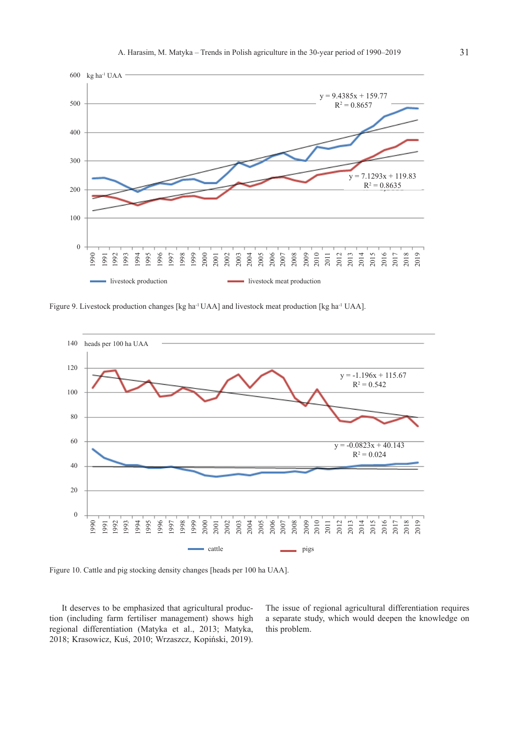



It deserves to be emphasized that agricultural production (including farm fertiliser management) shows high regional differentiation (Matyka et al., 2013; Matyka, 2018; Krasowicz, Kuś, 2010; Wrzaszcz, Kopiński, 2019). The issue of regional agricultural differentiation requires a separate study, which would deepen the knowledge on this problem.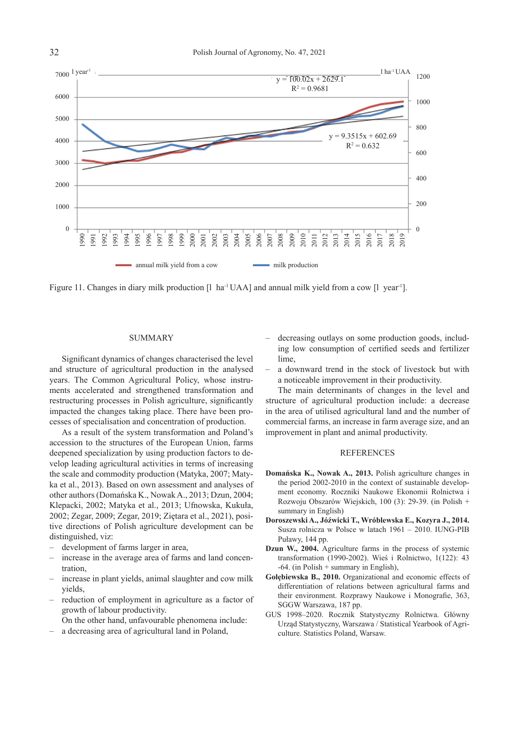Figure 11. Changes in diary milk production  $[1 \text{ ha}^{-1} \text{ UAA}]$  and annual milk yield from a cow  $[1 \text{ ear}^{-1}]$ . annual milk yield from a cow 7000 6000 5000 4000 3000 2000 1000  $\theta$  $\frac{1}{v}$  l ha<sup>-1</sup> UAA 1200 1000 800 600 400 200 0  $y = 100.02x + 2629.1$  $R^2 = 0.9681$  $9.3515x + 602.69$  $R^2 = 0.632$ 

# SUMMARY

Significant dynamics of changes characterised the level and structure of agricultural production in the analysed years. The Common Agricultural Policy, whose instruments accelerated and strengthened transformation and restructuring processes in Polish agriculture, significantly impacted the changes taking place. There have been processes of specialisation and concentration of production.

As a result of the system transformation and Poland's accession to the structures of the European Union, farms deepened specialization by using production factors to develop leading agricultural activities in terms of increasing the scale and commodity production (Matyka, 2007; Matyka et al., 2013). Based on own assessment and analyses of other authors (Domańska K., Nowak A., 2013; Dzun, 2004; Klepacki, 2002; Matyka et al., 2013; Ufnowska, Kukuła, 2002; Zegar, 2009; Zegar, 2019; Ziętara et al., 2021), positive directions of Polish agriculture development can be distinguished, viz:

- development of farms larger in area,
- increase in the average area of farms and land concentration,
- increase in plant yields, animal slaughter and cow milk yields,
- reduction of employment in agriculture as a factor of growth of labour productivity.
	- On the other hand, unfavourable phenomena include:
- a decreasing area of agricultural land in Poland,
- decreasing outlays on some production goods, including low consumption of certified seeds and fertilizer lime,
- a downward trend in the stock of livestock but with a noticeable improvement in their productivity.

The main determinants of changes in the level and structure of agricultural production include: a decrease in the area of utilised agricultural land and the number of commercial farms, an increase in farm average size, and an improvement in plant and animal productivity.

# REFERENCES

- **Domańska K., Nowak A., 2013.** Polish agriculture changes in the period 2002-2010 in the context of sustainable development economy. Roczniki Naukowe Ekonomii Rolnictwa i Rozwoju Obszarów Wiejskich, 100 (3): 29-39. (in Polish + summary in English)
- **Doroszewski A., Jóźwicki T., Wróblewska E., Kozyra J., 2014.**  Susza rolnicza w Polsce w latach 1961 – 2010. IUNG-PIB Puławy, 144 pp.
- **Dzun W., 2004.** Agriculture farms in the process of systemic transformation (1990-2002). Wieś i Rolnictwo, 1(122): 43  $-64$ . (in Polish + summary in English),
- **Gołębiewska B., 2010.** Organizational and economic effects of differentiation of relations between agricultural farms and their environment. Rozprawy Naukowe i Monografie, 363, SGGW Warszawa, 187 pp.
- GUS 1998–2020. Rocznik Statystyczny Rolnictwa. Główny Urząd Statystyczny, Warszawa / Statistical Yearbook of Agriculture. Statistics Poland, Warsaw.